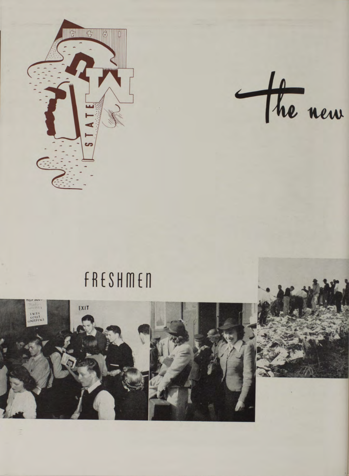

the new

## FRESHMEN



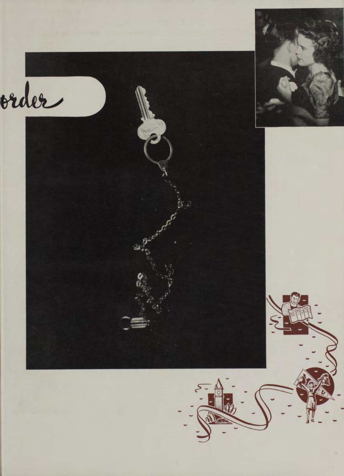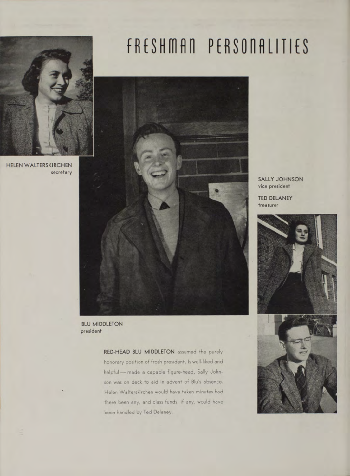

HELEN WALTERSKIRCHEN **secretary**

## FRESHMAN PERSONALITIES



**BLU MIDDLETON president**

> RED-HEAD BLU MIDDLETON assumed the purely honorary position of frosh president. Is well-liked and helpful — made a capable figure-head. Sally Johnson was on deck to aid in advent of Blu's absence. Helen Walterskirchen would have taken minutes had there been any, and class funds, if any, would have been handled by Ted Delaney.

SALLY JOHNSON **vice president**

TED DELANEY **treasurer**